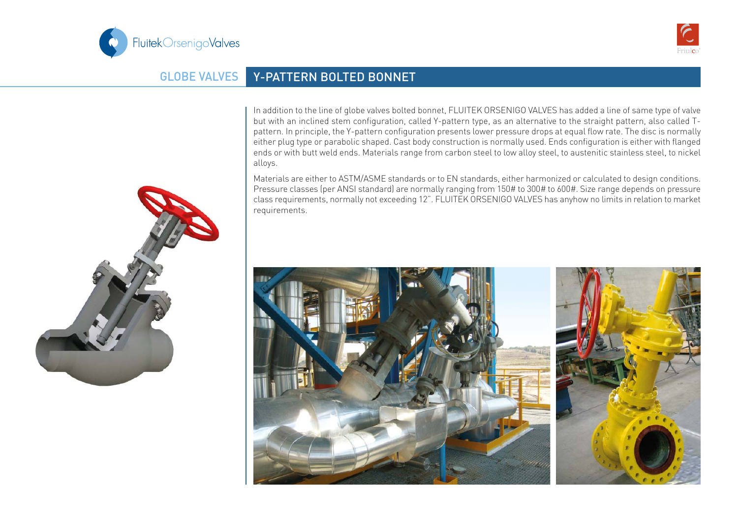



## GLOBE VALVES Y-PATTERN BOLTED BONNET

In addition to the line of globe valves bolted bonnet, FLUITEK ORSENIGO VALVES has added a line of same type of valve but with an inclined stem configuration, called Y-pattern type, as an alternative to the straight pattern, also called Tpattern. In principle, the Y-pattern configuration presents lower pressure drops at equal flow rate. The disc is normally either plug type or parabolic shaped. Cast body construction is normally used. Ends configuration is either with flanged ends or with butt weld ends. Materials range from carbon steel to low alloy steel, to austenitic stainless steel, to nickel alloys.

Materials are either to ASTM/ASME standards or to EN standards, either harmonized or calculated to design conditions. Pressure classes (per ANSI standard) are normally ranging from 150# to 300# to 600#. Size range depends on pressure class requirements, normally not exceeding 12". FLUITEK ORSENIGO VALVES has anyhow no limits in relation to market requirements.